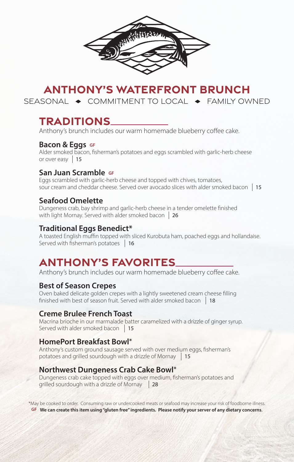

# **ANTHONY'S WATERFRONT BRUNCH**

SEASONAL  $\rightarrow$  COMMITMENT TO LOCAL  $\rightarrow$  FAMILY OWNED

## **TRADITIONS**

Anthony's brunch includes our warm homemade blueberry coffee cake.

### **Bacon & Eggs** GF

Alder smoked bacon, fisherman's potatoes and eggs scrambled with garlic-herb cheese or over easy 15

### **San Juan Scramble GF**

Eggs scrambled with garlic-herb cheese and topped with chives, tomatoes, sour cream and cheddar cheese. Served over avocado slices with alder smoked bacon 15

### **Seafood Omelette**

Dungeness crab, bay shrimp and garlic-herb cheese in a tender omelette finished with light Mornay. Served with alder smoked bacon | 26

## **Traditional Eggs Benedict\***

A toasted English muffin topped with sliced Kurobuta ham, poached eggs and hollandaise. Served with fisherman's potatoes 16

# **ANTHONY'S FAVORITES**

Anthony's brunch includes our warm homemade blueberry coffee cake.

## **Best of Season Crepes**

Oven baked delicate golden crepes with a lightly sweetened cream cheese filling finished with best of season fruit. Served with alder smoked bacon 18

## **Creme Brulee French Toast**

Macrina brioche in our marmalade batter caramelized with a drizzle of ginger syrup. Served with alder smoked bacon  $\frac{15}{2}$ 

### **HomePort Breakfast Bowl\***

Anthony's custom ground sausage served with over medium eggs, fisherman's potatoes and grilled sourdough with a drizzle of Mornay 15

## **Northwest Dungeness Crab Cake Bowl\***

Dungeness crab cake topped with eggs over medium, fisherman's potatoes and grilled sourdough with a drizzle of Mornay  28

\*May be cooked to order. Consuming raw or undercooked meats or seafood may increase your risk of foodborne illness. **GF We can create this item using "gluten free" ingredients. Please notify your server of any dietary concerns**.